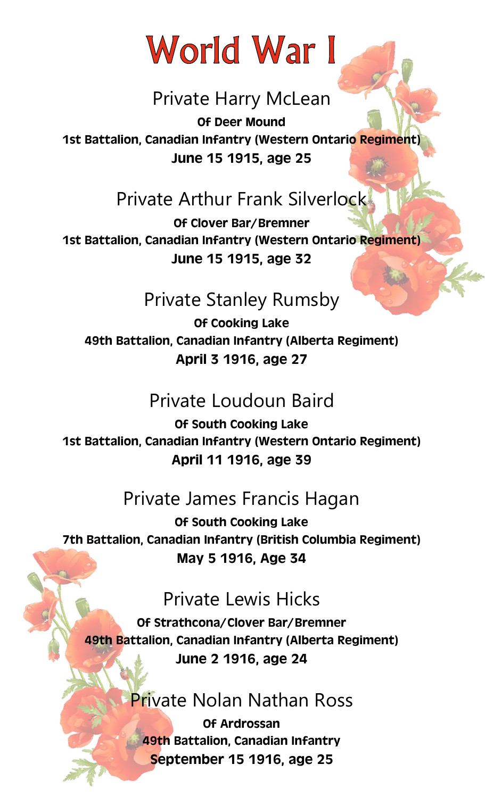# World War I

## Private Harry McLean

*Of Deer Mound 1st Battalion, Canadian Infantry (Western Ontario Regiment) June 15 1915, age 25*

## Private Arthur Frank Silverlock

*Of Clover Bar/Bremner 1st Battalion, Canadian Infantry (Western Ontario Regiment) June 15 1915, age 32*

## Private Stanley Rumsby

*Of Cooking Lake 49th Battalion, Canadian Infantry (Alberta Regiment) April 3 1916, age 27*

## Private Loudoun Baird

*Of South Cooking Lake 1st Battalion, Canadian Infantry (Western Ontario Regiment) April 11 1916, age 39*

## Private James Francis Hagan

*Of South Cooking Lake 7th Battalion, Canadian Infantry (British Columbia Regiment) May 5 1916, Age 34*

## Private Lewis Hicks

*Of Strathcona/Clover Bar/Bremner 49th Battalion, Canadian Infantry (Alberta Regiment) June 2 1916, age 24*

## Private Nolan Nathan Ross

*Of Ardrossan 49th Battalion, Canadian Infantry September 15 1916, age 25*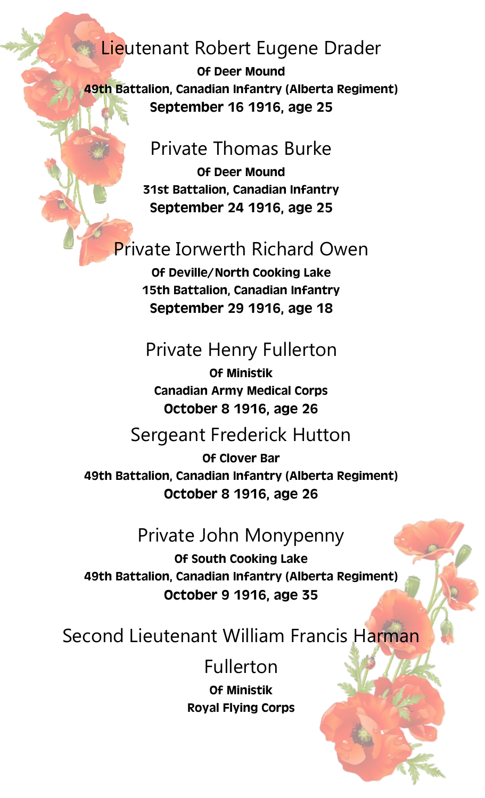#### Lieutenant Robert Eugene Drader

*Of Deer Mound 49th Battalion, Canadian Infantry (Alberta Regiment) September 16 1916, age 25*

#### Private Thomas Burke

*Of Deer Mound 31st Battalion, Canadian Infantry September 24 1916, age 25*

## Private Iorwerth Richard Owen

*Of Deville/North Cooking Lake 15th Battalion, Canadian Infantry September 29 1916, age 18*

#### Private Henry Fullerton

*Of Ministik Canadian Army Medical Corps October 8 1916, age 26*

#### Sergeant Frederick Hutton

*Of Clover Bar 49th Battalion, Canadian Infantry (Alberta Regiment) October 8 1916, age 26*

#### Private John Monypenny

*Of South Cooking Lake 49th Battalion, Canadian Infantry (Alberta Regiment) October 9 1916, age 35*

#### Second Lieutenant William Francis Harman

#### Fullerton

*Of Ministik Royal Flying Corps*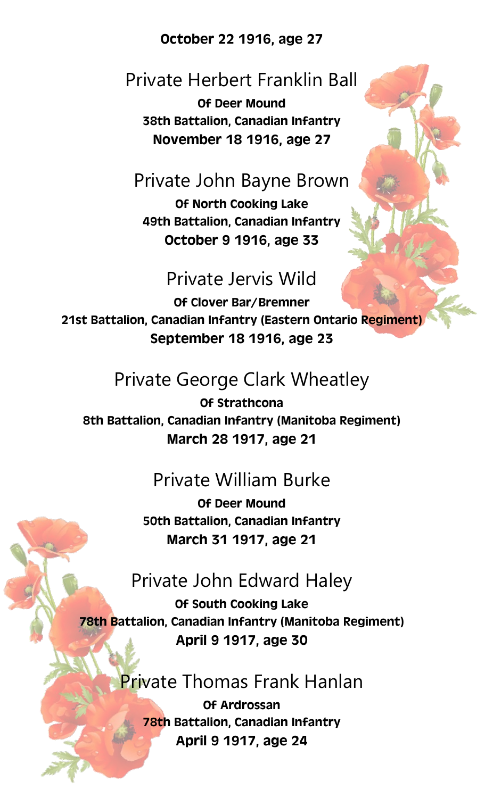#### *October 22 1916, age 27*

#### Private Herbert Franklin Ball

*Of Deer Mound 38th Battalion, Canadian Infantry November 18 1916, age 27*

#### Private John Bayne Brown

*Of North Cooking Lake 49th Battalion, Canadian Infantry October 9 1916, age 33*

#### Private Jervis Wild

*Of Clover Bar/Bremner 21st Battalion, Canadian Infantry (Eastern Ontario Regiment) September 18 1916, age 23*

#### Private George Clark Wheatley

*Of Strathcona 8th Battalion, Canadian Infantry (Manitoba Regiment) March 28 1917, age 21*

## Private William Burke

*Of Deer Mound 50th Battalion, Canadian Infantry March 31 1917, age 21*

#### Private John Edward Haley

*Of South Cooking Lake 78th Battalion, Canadian Infantry (Manitoba Regiment) April 9 1917, age 30*

#### Private Thomas Frank Hanlan

*Of Ardrossan 78th Battalion, Canadian Infantry April 9 1917, age 24*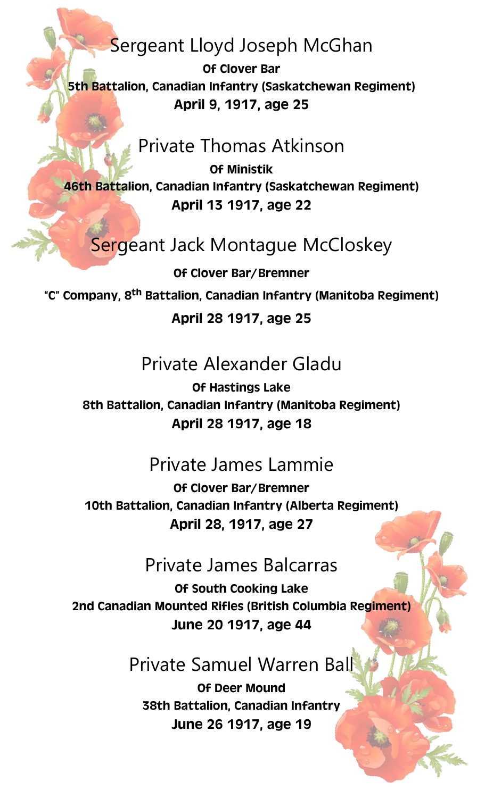## Sergeant Lloyd Joseph McGhan

*Of Clover Bar 5th Battalion, Canadian Infantry (Saskatchewan Regiment) April 9, 1917, age 25*

#### Private Thomas Atkinson

*Of Ministik 46th Battalion, Canadian Infantry (Saskatchewan Regiment) April 13 1917, age 22*

## Sergeant Jack Montague McCloskey

*Of Clover Bar/Bremner "C" Company, 8th Battalion, Canadian Infantry (Manitoba Regiment)*

#### *April 28 1917, age 25*

## Private Alexander Gladu

*Of Hastings Lake 8th Battalion, Canadian Infantry (Manitoba Regiment) April 28 1917, age 18*

#### Private James Lammie

*Of Clover Bar/Bremner 10th Battalion, Canadian Infantry (Alberta Regiment) April 28, 1917, age 27*

#### Private James Balcarras

*Of South Cooking Lake 2nd Canadian Mounted Rifles (British Columbia Regiment) June 20 1917, age 44*

#### Private Samuel Warren Ball

*Of Deer Mound 38th Battalion, Canadian Infantry June 26 1917, age 19*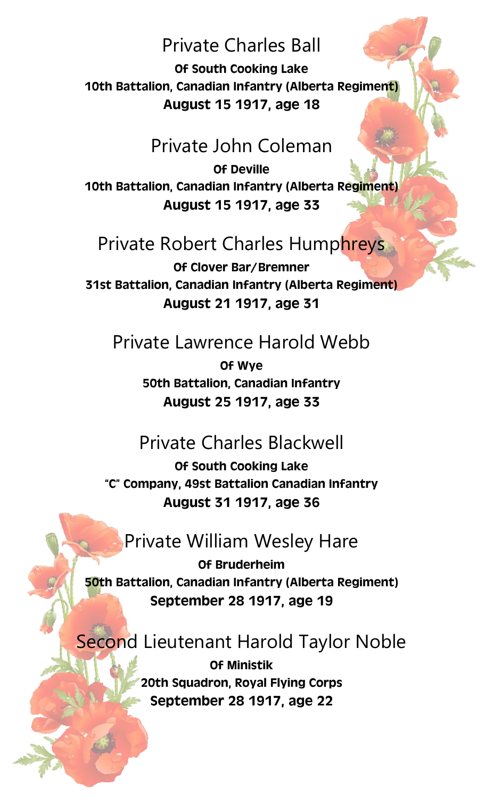#### Private Charles Ball

*Of South Cooking Lake 10th Battalion, Canadian Infantry (Alberta Regiment) August 15 1917, age 18*

#### Private John Coleman

*Of Deville 10th Battalion, Canadian Infantry (Alberta Regiment) August 15 1917, age 33*

## Private Robert Charles Humphreys

*Of Clover Bar/Bremner 31st Battalion, Canadian Infantry (Alberta Regiment) August 21 1917, age 31*

#### Private Lawrence Harold Webb

*Of Wye 50th Battalion, Canadian Infantry August 25 1917, age 33*

#### Private Charles Blackwell

*Of South Cooking Lake "C" Company, 49st Battalion Canadian Infantry August 31 1917, age 36*

#### Private William Wesley Hare

*Of Bruderheim 50th Battalion, Canadian Infantry (Alberta Regiment) September 28 1917, age 19*

#### **Second Lieutenant Harold Taylor Noble**

*Of Ministik 20th Squadron, Royal Flying Corps September 28 1917, age 22*